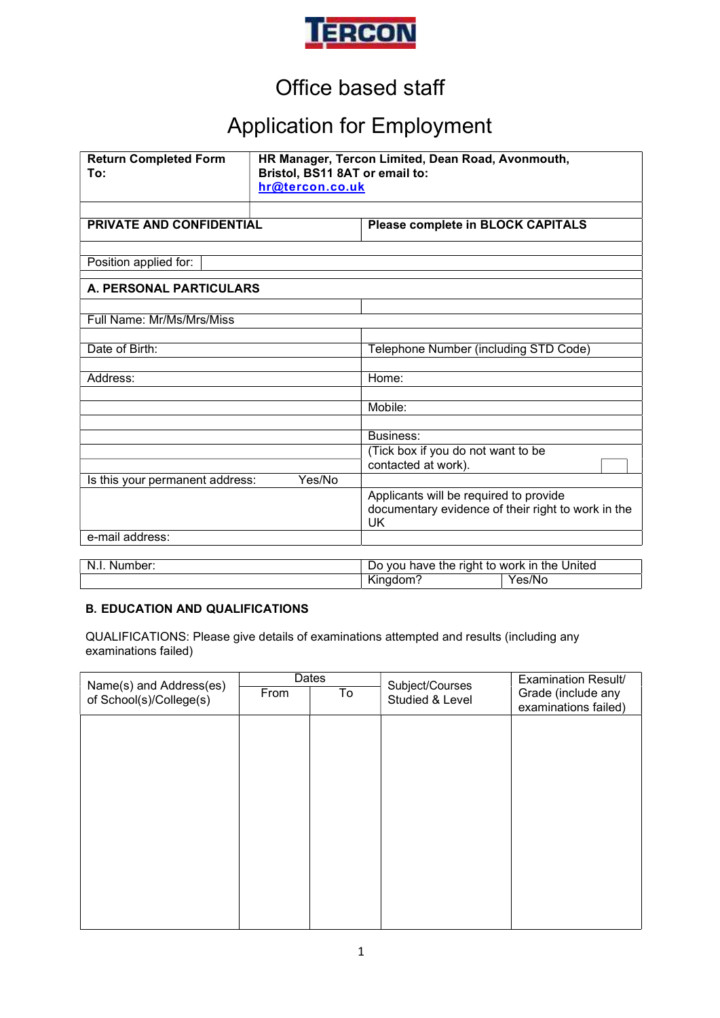

## Office based staff

# Application for Employment

| <b>Return Completed Form</b><br>To: | HR Manager, Tercon Limited, Dean Road, Avonmouth,<br>Bristol, BS11 8AT or email to:<br>hr@tercon.co.uk |                                                                                                    |        |  |
|-------------------------------------|--------------------------------------------------------------------------------------------------------|----------------------------------------------------------------------------------------------------|--------|--|
| <b>PRIVATE AND CONFIDENTIAL</b>     |                                                                                                        | <b>Please complete in BLOCK CAPITALS</b>                                                           |        |  |
| Position applied for:               |                                                                                                        |                                                                                                    |        |  |
| A. PERSONAL PARTICULARS             |                                                                                                        |                                                                                                    |        |  |
| Full Name: Mr/Ms/Mrs/Miss           |                                                                                                        |                                                                                                    |        |  |
| Date of Birth:                      |                                                                                                        | Telephone Number (including STD Code)                                                              |        |  |
| Address:                            |                                                                                                        | Home:                                                                                              |        |  |
|                                     |                                                                                                        | Mobile:                                                                                            |        |  |
|                                     |                                                                                                        | Business:<br>(Tick box if you do not want to be<br>contacted at work).                             |        |  |
| Is this your permanent address:     | Yes/No                                                                                                 |                                                                                                    |        |  |
|                                     |                                                                                                        | Applicants will be required to provide<br>documentary evidence of their right to work in the<br>UK |        |  |
| e-mail address:                     |                                                                                                        |                                                                                                    |        |  |
| N.I. Number:                        |                                                                                                        | Do you have the right to work in the United<br>Kingdom?                                            | Yes/No |  |

#### B. EDUCATION AND QUALIFICATIONS

QUALIFICATIONS: Please give details of examinations attempted and results (including any examinations failed)

| Name(s) and Address(es) | Dates |                          | Subject/Courses | <b>Examination Result/</b> |
|-------------------------|-------|--------------------------|-----------------|----------------------------|
| of School(s)/College(s) | From  | $\overline{\mathsf{To}}$ | Studied & Level | Grade (include any         |
|                         |       |                          |                 | examinations failed)       |
|                         |       |                          |                 |                            |
|                         |       |                          |                 |                            |
|                         |       |                          |                 |                            |
|                         |       |                          |                 |                            |
|                         |       |                          |                 |                            |
|                         |       |                          |                 |                            |
|                         |       |                          |                 |                            |
|                         |       |                          |                 |                            |
|                         |       |                          |                 |                            |
|                         |       |                          |                 |                            |
|                         |       |                          |                 |                            |
|                         |       |                          |                 |                            |
|                         |       |                          |                 |                            |
|                         |       |                          |                 |                            |
|                         |       |                          |                 |                            |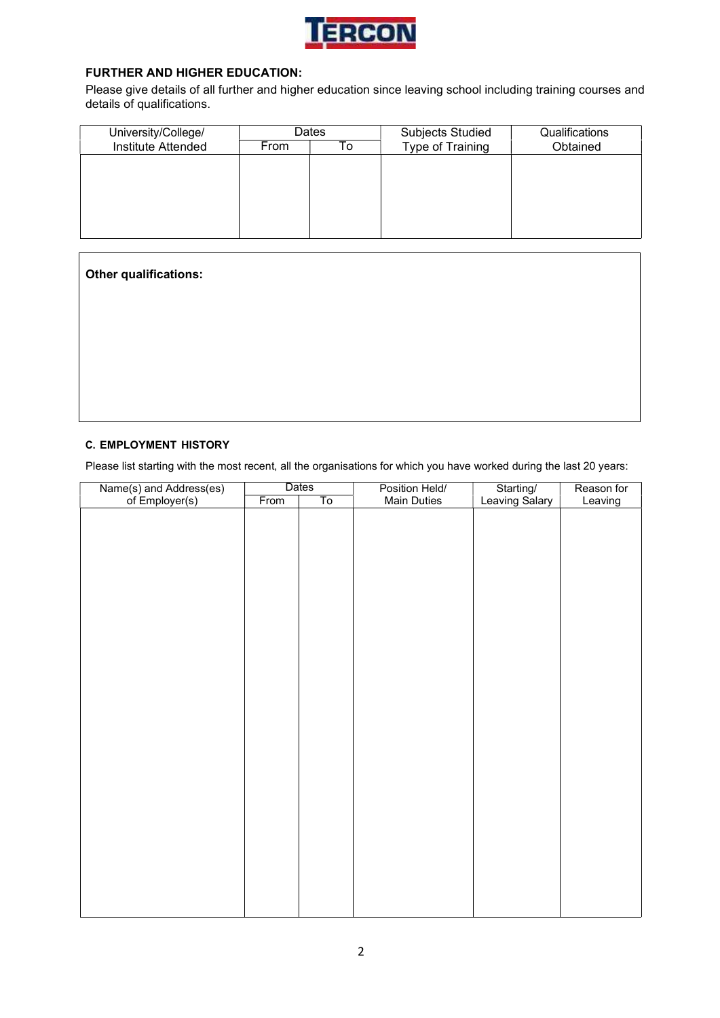

#### FURTHER AND HIGHER EDUCATION:

Please give details of all further and higher education since leaving school including training courses and details of qualifications.

| University/College/ |      | Dates | <b>Subjects Studied</b> | Qualifications |
|---------------------|------|-------|-------------------------|----------------|
| Institute Attended  | From | ١o    | Type of Training        | Obtained       |
|                     |      |       |                         |                |
|                     |      |       |                         |                |
|                     |      |       |                         |                |
|                     |      |       |                         |                |
|                     |      |       |                         |                |
|                     |      |       |                         |                |

| Other qualifications: |  |  |
|-----------------------|--|--|
|                       |  |  |
|                       |  |  |
|                       |  |  |
|                       |  |  |

#### C. EMPLOYMENT HISTORY

Please list starting with the most recent, all the organisations for which you have worked during the last 20 years:

| Name(s) and Address(es)<br>of Employer(s) |      | Dates | Position Held/     | Starting/<br>Leaving Salary | Reason for |
|-------------------------------------------|------|-------|--------------------|-----------------------------|------------|
|                                           | From | To    | <b>Main Duties</b> |                             | Leaving    |
|                                           |      |       |                    |                             |            |
|                                           |      |       |                    |                             |            |
|                                           |      |       |                    |                             |            |
|                                           |      |       |                    |                             |            |
|                                           |      |       |                    |                             |            |
|                                           |      |       |                    |                             |            |
|                                           |      |       |                    |                             |            |
|                                           |      |       |                    |                             |            |
|                                           |      |       |                    |                             |            |
|                                           |      |       |                    |                             |            |
|                                           |      |       |                    |                             |            |
|                                           |      |       |                    |                             |            |
|                                           |      |       |                    |                             |            |
|                                           |      |       |                    |                             |            |
|                                           |      |       |                    |                             |            |
|                                           |      |       |                    |                             |            |
|                                           |      |       |                    |                             |            |
|                                           |      |       |                    |                             |            |
|                                           |      |       |                    |                             |            |
|                                           |      |       |                    |                             |            |
|                                           |      |       |                    |                             |            |
|                                           |      |       |                    |                             |            |
|                                           |      |       |                    |                             |            |
|                                           |      |       |                    |                             |            |
|                                           |      |       |                    |                             |            |
|                                           |      |       |                    |                             |            |
|                                           |      |       |                    |                             |            |
|                                           |      |       |                    |                             |            |
|                                           |      |       |                    |                             |            |
|                                           |      |       |                    |                             |            |
|                                           |      |       |                    |                             |            |
|                                           |      |       |                    |                             |            |
|                                           |      |       |                    |                             |            |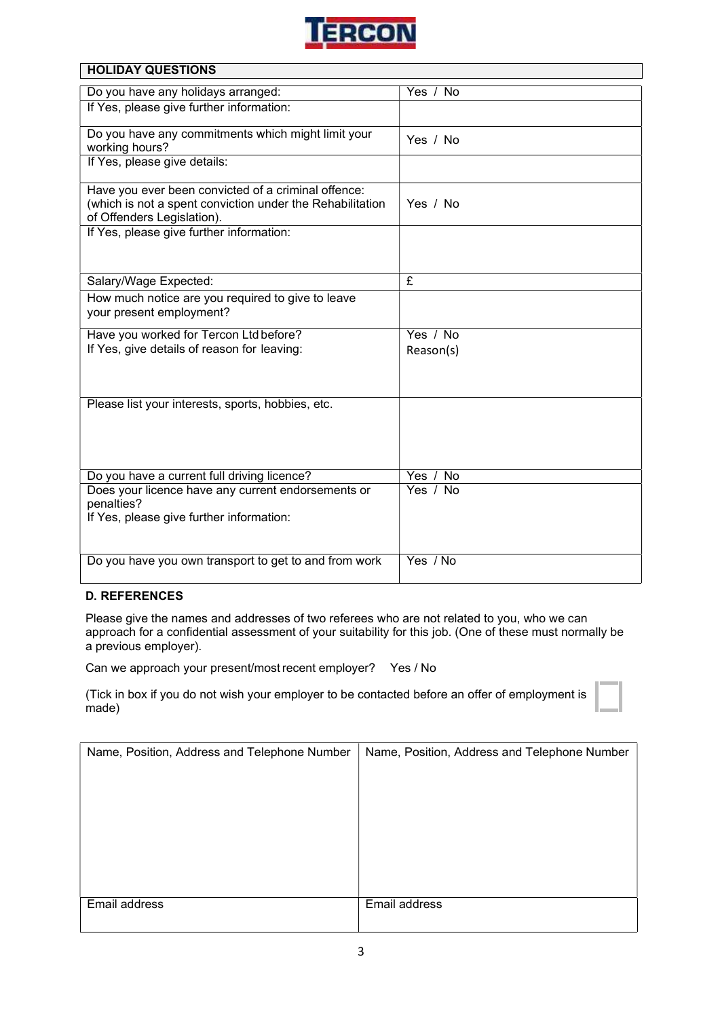

|  | <b>HOLIDAY QUESTIONS</b> |  |
|--|--------------------------|--|
|  |                          |  |
|  |                          |  |
|  |                          |  |

| Do you have any holidays arranged:                                                      | Yes / No      |
|-----------------------------------------------------------------------------------------|---------------|
| If Yes, please give further information:                                                |               |
| Do you have any commitments which might limit your                                      |               |
| working hours?                                                                          | Yes / No      |
| If Yes, please give details:                                                            |               |
|                                                                                         |               |
| Have you ever been convicted of a criminal offence:                                     |               |
| (which is not a spent conviction under the Rehabilitation<br>of Offenders Legislation). | Yes / No      |
| If Yes, please give further information:                                                |               |
|                                                                                         |               |
|                                                                                         |               |
| Salary/Wage Expected:                                                                   | £             |
| How much notice are you required to give to leave                                       |               |
| your present employment?                                                                |               |
| Have you worked for Tercon Ltd before?                                                  | Yes / No      |
| If Yes, give details of reason for leaving:                                             | Reason(s)     |
|                                                                                         |               |
|                                                                                         |               |
| Please list your interests, sports, hobbies, etc.                                       |               |
|                                                                                         |               |
|                                                                                         |               |
|                                                                                         |               |
| Do you have a current full driving licence?                                             | No<br>Yes $/$ |
| Does your licence have any current endorsements or                                      | Yes / No      |
| penalties?                                                                              |               |
| If Yes, please give further information:                                                |               |
|                                                                                         |               |
| Do you have you own transport to get to and from work                                   | Yes / No      |
|                                                                                         |               |

#### D. REFERENCES

Please give the names and addresses of two referees who are not related to you, who we can approach for a confidential assessment of your suitability for this job. (One of these must normally be a previous employer).

Can we approach your present/most recent employer? Yes / No

(Tick in box if you do not wish your employer to be contacted before an offer of employment is made)

| Name, Position, Address and Telephone Number | Name, Position, Address and Telephone Number |
|----------------------------------------------|----------------------------------------------|
|                                              |                                              |
|                                              |                                              |
|                                              |                                              |
|                                              |                                              |
| Email address                                | Email address                                |
|                                              |                                              |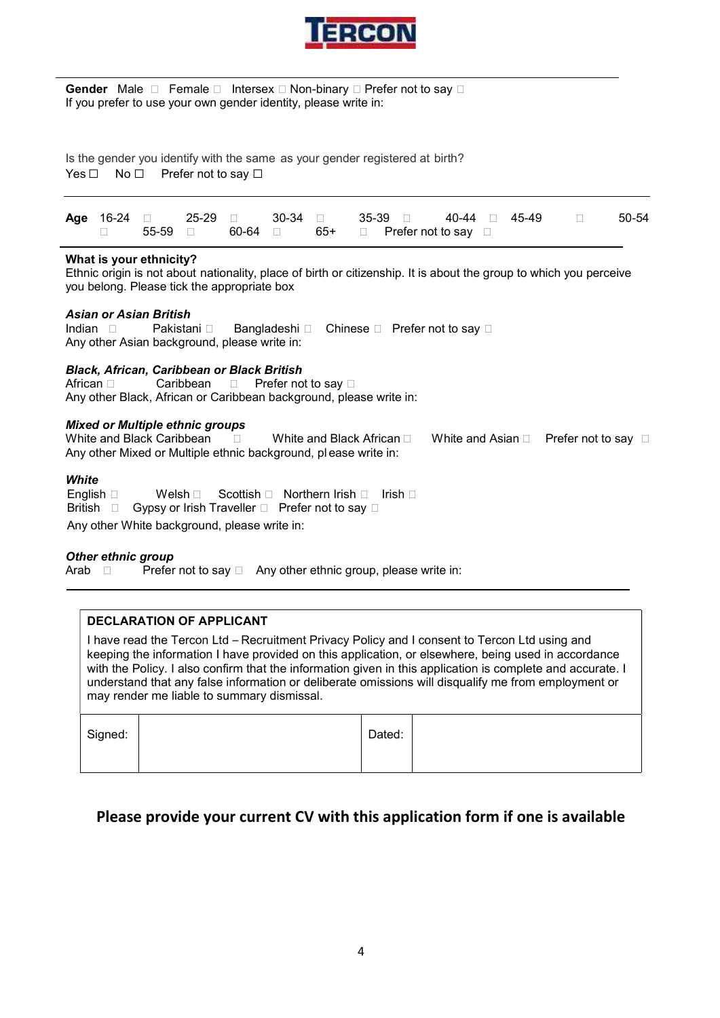

**Gender** Male □ Female □ Intersex □ Non-binary □ Prefer not to say □<br>If you prefer to use your own gender identity, please write in:<br>Is the gender you identify with the same as your gender registered at birth?<br>Yes □ No □ Is the gender you identify with the same as your gender registered at birth?<br>
Yes  $□$  No  $□$  Prefer not to say  $□$ 

| <b>IERCON</b>                                                                                                                                                                                                                             |
|-------------------------------------------------------------------------------------------------------------------------------------------------------------------------------------------------------------------------------------------|
| <b>Gender</b> Male $\Box$ Female $\Box$ Intersex $\Box$ Non-binary $\Box$ Prefer not to say $\Box$<br>If you prefer to use your own gender identity, please write in:                                                                     |
| Is the gender you identify with the same as your gender registered at birth?<br>Yes $\Box$<br>No $\Box$<br>Prefer not to say $\Box$                                                                                                       |
| Age 16-24<br>25-29<br>30-34<br>35-39<br>50-54<br>45-49<br>П<br>$\Box$<br>$\Box$<br>$\Box$<br>40-44<br>$\Box$<br>П<br>55-59<br>60-64<br>$65+$<br>Prefer not to say $\square$<br>П<br>$\Box$<br>$\Box$<br>$\Box$                            |
| What is your ethnicity?<br>Ethnic origin is not about nationality, place of birth or citizenship. It is about the group to which you perceive<br>you belong. Please tick the appropriate box                                              |
| <b>Asian or Asian British</b><br>Pakistani □<br>Indian $\Box$<br>Bangladeshi □<br>Chinese $\square$ Prefer not to say $\square$<br>Any other Asian background, please write in:                                                           |
| <b>Black, African, Caribbean or Black British</b><br>Prefer not to say □<br>Caribbean<br>$\Box$<br>Any other Black, African or Caribbean background, please write in:                                                                     |
| <b>Mixed or Multiple ethnic groups</b><br>White and Black Caribbean<br>White and Black African □<br>$\Box$<br>White and Asian $\square$<br>Prefer not to say $\square$<br>Any other Mixed or Multiple ethnic background, please write in: |
| White<br>Scottish □ Northern Irish □<br>English $\square$<br>Welsh $\square$<br>– Irish ⊟<br>Gypsy or Irish Traveller □ Prefer not to say □<br>British $\square$                                                                          |
| Any other White background, please write in:                                                                                                                                                                                              |

#### What is your ethnicity?

#### Asian or Asian British

#### Black, African, Caribbean or Black British

#### Mixed or Multiple ethnic groups

| White and Black<br>√aribbean.                  | White and Black<br>African | White and<br>. Asian | Prefer not to sav<br>$\overline{\phantom{0}}$ |
|------------------------------------------------|----------------------------|----------------------|-----------------------------------------------|
| Any other Mixed or Multiple ethnic background, | . pl ease write in:        |                      |                                               |

#### **White**

| English $\square$ Welsh $\square$ Scottish $\square$ Northern Irish $\square$ Irish $\square$ |  |
|-----------------------------------------------------------------------------------------------|--|
| British $\Box$ Gypsy or Irish Traveller $\Box$ Prefer not to say $\Box$                       |  |
| Any other White background, please write in:                                                  |  |

#### Other ethnic group

Arab  $\Box$  Prefer not to say  $\Box$  Any other ethnic group, please write in:

#### DECLARATION OF APPLICANT

I have read the Tercon Ltd – Recruitment Privacy Policy and I consent to Tercon Ltd using and keeping the information I have provided on this application, or elsewhere, being used in accordance with the Policy. I also confirm that the information given in this application is complete and accurate. I understand that any false information or deliberate omissions will disqualify me from employment or may render me liable to summary dismissal.

| Signed: |  | Dated: |  |
|---------|--|--------|--|
|---------|--|--------|--|

## Please provide your current CV with this application form if one is available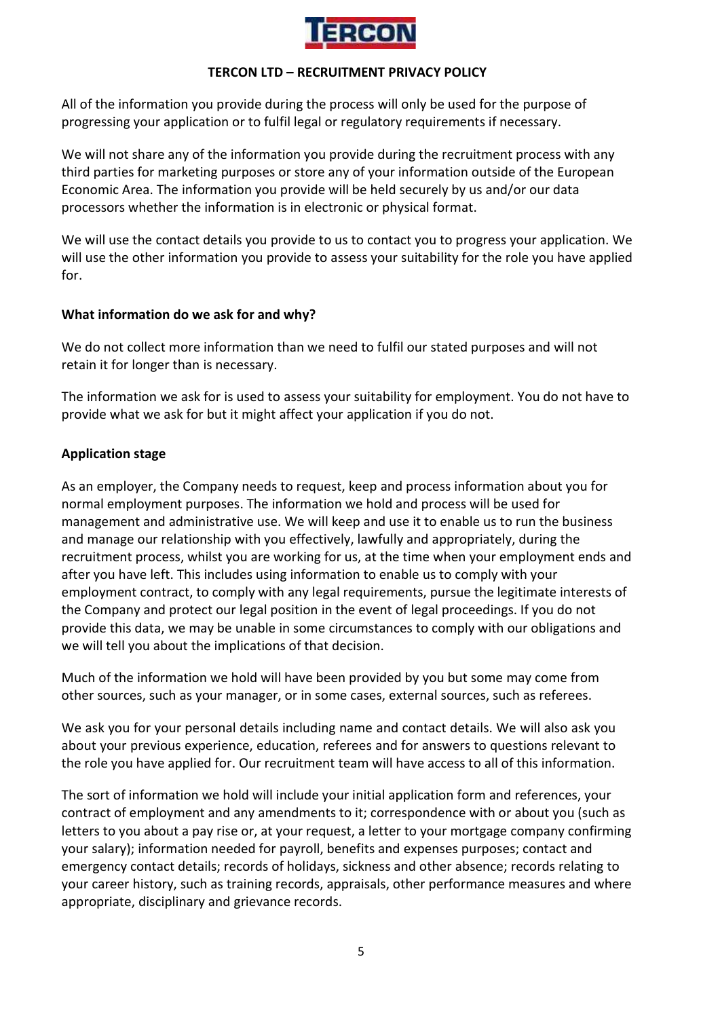

## TERCON LTD – RECRUITMENT PRIVACY POLICY

All of the information you provide during the process will only be used for the purpose of progressing your application or to fulfil legal or regulatory requirements if necessary.

We will not share any of the information you provide during the recruitment process with any third parties for marketing purposes or store any of your information outside of the European Economic Area. The information you provide will be held securely by us and/or our data processors whether the information is in electronic or physical format.

We will use the contact details you provide to us to contact you to progress your application. We will use the other information you provide to assess your suitability for the role you have applied for.

## What information do we ask for and why?

We do not collect more information than we need to fulfil our stated purposes and will not retain it for longer than is necessary.

The information we ask for is used to assess your suitability for employment. You do not have to provide what we ask for but it might affect your application if you do not.

## Application stage

As an employer, the Company needs to request, keep and process information about you for normal employment purposes. The information we hold and process will be used for management and administrative use. We will keep and use it to enable us to run the business and manage our relationship with you effectively, lawfully and appropriately, during the recruitment process, whilst you are working for us, at the time when your employment ends and after you have left. This includes using information to enable us to comply with your employment contract, to comply with any legal requirements, pursue the legitimate interests of the Company and protect our legal position in the event of legal proceedings. If you do not provide this data, we may be unable in some circumstances to comply with our obligations and we will tell you about the implications of that decision.

Much of the information we hold will have been provided by you but some may come from other sources, such as your manager, or in some cases, external sources, such as referees.

We ask you for your personal details including name and contact details. We will also ask you about your previous experience, education, referees and for answers to questions relevant to the role you have applied for. Our recruitment team will have access to all of this information.

The sort of information we hold will include your initial application form and references, your contract of employment and any amendments to it; correspondence with or about you (such as letters to you about a pay rise or, at your request, a letter to your mortgage company confirming your salary); information needed for payroll, benefits and expenses purposes; contact and emergency contact details; records of holidays, sickness and other absence; records relating to your career history, such as training records, appraisals, other performance measures and where appropriate, disciplinary and grievance records.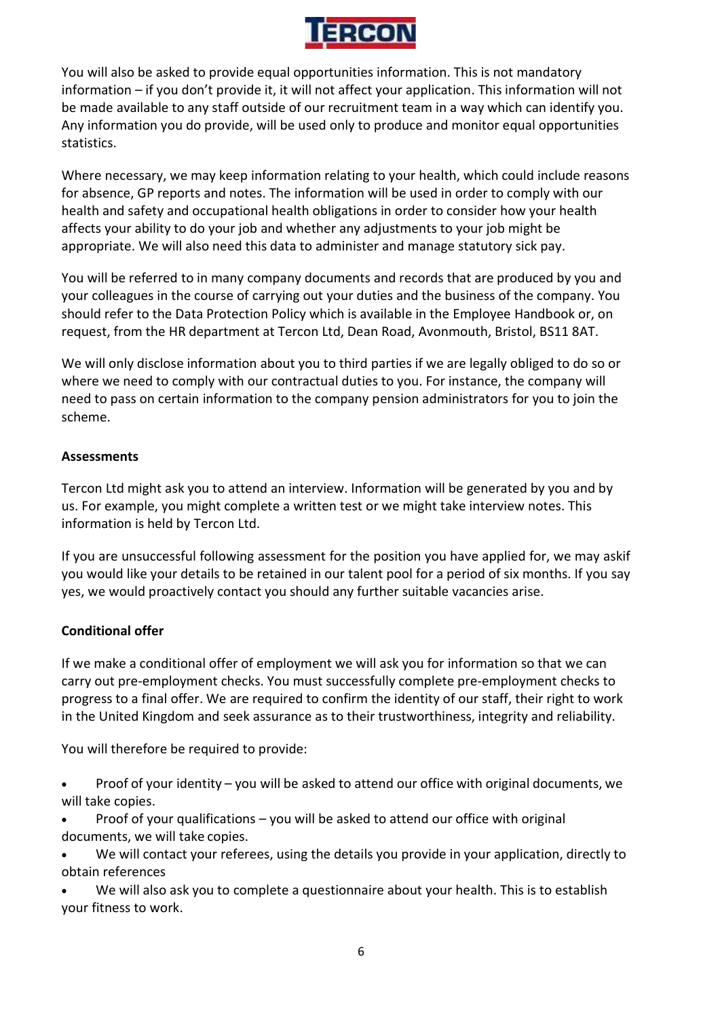

You will also be asked to provide equal opportunities information. This is not mandatory information – if you don't provide it, it will not affect your application. This information will not be made available to any staff outside of our recruitment team in a way which can identify you. Any information you do provide, will be used only to produce and monitor equal opportunities statistics.

Where necessary, we may keep information relating to your health, which could include reasons for absence, GP reports and notes. The information will be used in order to comply with our health and safety and occupational health obligations in order to consider how your health affects your ability to do your job and whether any adjustments to your job might be appropriate. We will also need this data to administer and manage statutory sick pay.

You will be referred to in many company documents and records that are produced by you and your colleagues in the course of carrying out your duties and the business of the company. You should refer to the Data Protection Policy which is available in the Employee Handbook or, on request, from the HR department at Tercon Ltd, Dean Road, Avonmouth, Bristol, BS11 8AT.

We will only disclose information about you to third parties if we are legally obliged to do so or where we need to comply with our contractual duties to you. For instance, the company will need to pass on certain information to the company pension administrators for you to join the scheme.

## Assessments

Tercon Ltd might ask you to attend an interview. Information will be generated by you and by us. For example, you might complete a written test or we might take interview notes. This information is held by Tercon Ltd.

If you are unsuccessful following assessment for the position you have applied for, we may askif you would like your details to be retained in our talent pool for a period of six months. If you say yes, we would proactively contact you should any further suitable vacancies arise.

## Conditional offer

If we make a conditional offer of employment we will ask you for information so that we can carry out pre-employment checks. You must successfully complete pre-employment checks to progress to a final offer. We are required to confirm the identity of our staff, their right to work in the United Kingdom and seek assurance as to their trustworthiness, integrity and reliability.

You will therefore be required to provide:

- Proof of your identity you will be asked to attend our office with original documents, we will take copies.
- Proof of your qualifications you will be asked to attend our office with original documents, we will take copies.
- We will contact your referees, using the details you provide in your application, directly to obtain references
- We will also ask you to complete a questionnaire about your health. This is to establish your fitness to work.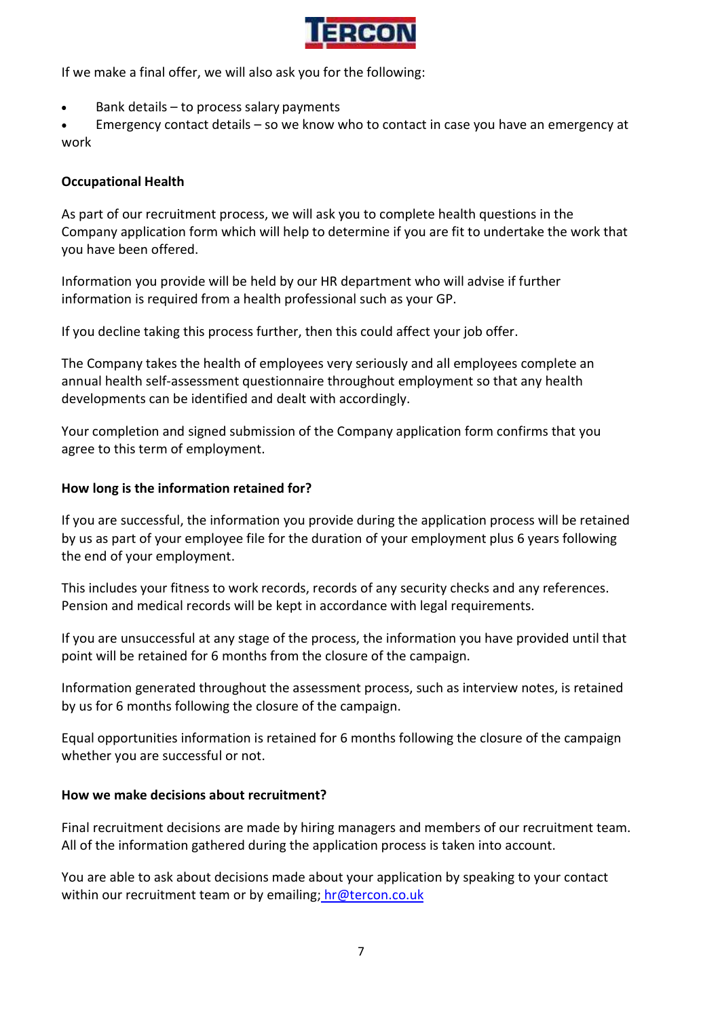

If we make a final offer, we will also ask you for the following:

Bank details – to process salary payments

 Emergency contact details – so we know who to contact in case you have an emergency at work

## Occupational Health

As part of our recruitment process, we will ask you to complete health questions in the Company application form which will help to determine if you are fit to undertake the work that you have been offered.

Information you provide will be held by our HR department who will advise if further information is required from a health professional such as your GP.

If you decline taking this process further, then this could affect your job offer.

The Company takes the health of employees very seriously and all employees complete an annual health self-assessment questionnaire throughout employment so that any health developments can be identified and dealt with accordingly.

Your completion and signed submission of the Company application form confirms that you agree to this term of employment.

## How long is the information retained for?

If you are successful, the information you provide during the application process will be retained by us as part of your employee file for the duration of your employment plus 6 years following the end of your employment.

This includes your fitness to work records, records of any security checks and any references. Pension and medical records will be kept in accordance with legal requirements.

If you are unsuccessful at any stage of the process, the information you have provided until that point will be retained for 6 months from the closure of the campaign.

Information generated throughout the assessment process, such as interview notes, is retained by us for 6 months following the closure of the campaign.

Equal opportunities information is retained for 6 months following the closure of the campaign whether you are successful or not.

#### How we make decisions about recruitment?

Final recruitment decisions are made by hiring managers and members of our recruitment team. All of the information gathered during the application process is taken into account.

You are able to ask about decisions made about your application by speaking to your contact within our recruitment team or by emailing; hr@tercon.co.uk